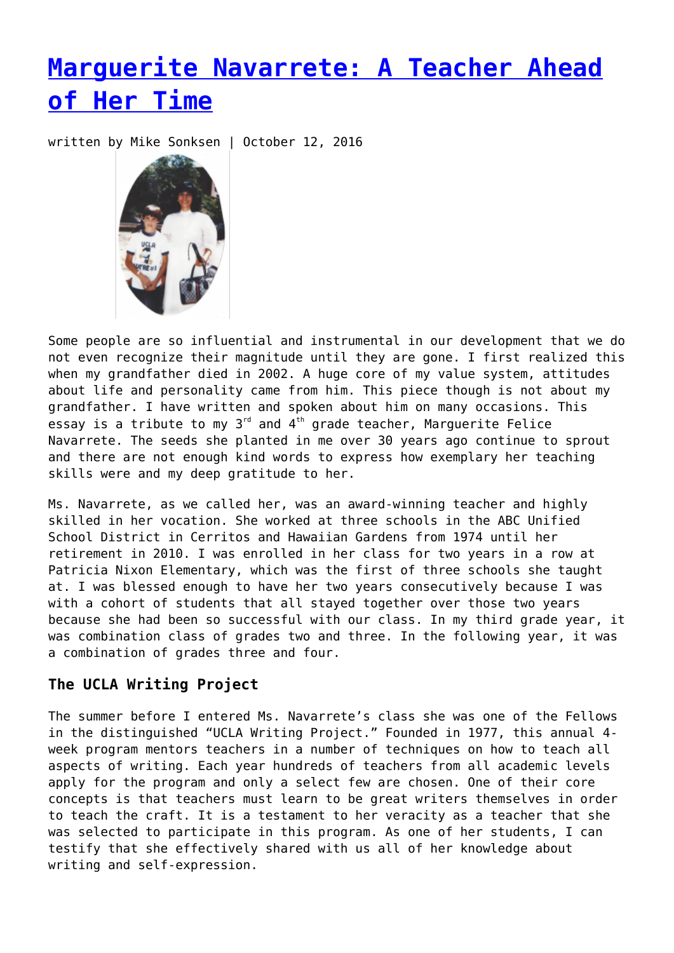# **[Marguerite Navarrete: A Teacher Ahead](https://entropymag.org/marguerite-navarrete-a-teacher-ahead-of-her-time/) [of Her Time](https://entropymag.org/marguerite-navarrete-a-teacher-ahead-of-her-time/)**

written by Mike Sonksen | October 12, 2016



Some people are so influential and instrumental in our development that we do not even recognize their magnitude until they are gone. I first realized this when my grandfather died in 2002. A huge core of my value system, attitudes about life and personality came from him. This piece though is not about my grandfather. I have written and spoken about him on many occasions. This essay is a tribute to my  $3^{rd}$  and  $4^{th}$  grade teacher, Marguerite Felice Navarrete. The seeds she planted in me over 30 years ago continue to sprout and there are not enough kind words to express how exemplary her teaching skills were and my deep gratitude to her.

Ms. Navarrete, as we called her, was an award-winning teacher and highly skilled in her vocation. She worked at three schools in the ABC Unified School District in Cerritos and Hawaiian Gardens from 1974 until her retirement in 2010. I was enrolled in her class for two years in a row at Patricia Nixon Elementary, which was the first of three schools she taught at. I was blessed enough to have her two years consecutively because I was with a cohort of students that all stayed together over those two years because she had been so successful with our class. In my third grade year, it was combination class of grades two and three. In the following year, it was a combination of grades three and four.

## **The UCLA Writing Project**

The summer before I entered Ms. Navarrete's class she was one of the Fellows in the distinguished "UCLA Writing Project." Founded in 1977, this annual 4 week program mentors teachers in a number of techniques on how to teach all aspects of writing. Each year hundreds of teachers from all academic levels apply for the program and only a select few are chosen. One of their core concepts is that teachers must learn to be great writers themselves in order to teach the craft. It is a testament to her veracity as a teacher that she was selected to participate in this program. As one of her students, I can testify that she effectively shared with us all of her knowledge about writing and self-expression.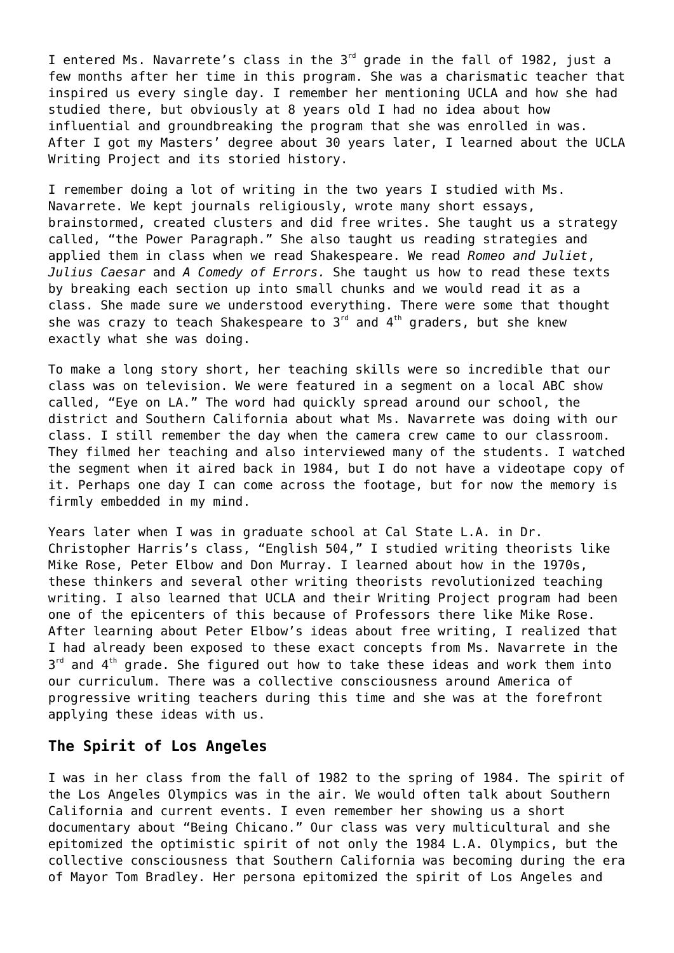I entered Ms. Navarrete's class in the 3<sup>rd</sup> grade in the fall of 1982, just a few months after her time in this program. She was a charismatic teacher that inspired us every single day. I remember her mentioning UCLA and how she had studied there, but obviously at 8 years old I had no idea about how influential and groundbreaking the program that she was enrolled in was. After I got my Masters' degree about 30 years later, I learned about the UCLA Writing Project and its storied history.

I remember doing a lot of writing in the two years I studied with Ms. Navarrete. We kept journals religiously, wrote many short essays, brainstormed, created clusters and did free writes. She taught us a strategy called, "the Power Paragraph." She also taught us reading strategies and applied them in class when we read Shakespeare. We read *Romeo and Juliet*, *Julius Caesar* and *A Comedy of Errors.* She taught us how to read these texts by breaking each section up into small chunks and we would read it as a class. She made sure we understood everything. There were some that thought she was crazy to teach Shakespeare to  $3<sup>rd</sup>$  and  $4<sup>th</sup>$  graders, but she knew exactly what she was doing.

To make a long story short, her teaching skills were so incredible that our class was on television. We were featured in a segment on a local ABC show called, "Eye on LA." The word had quickly spread around our school, the district and Southern California about what Ms. Navarrete was doing with our class. I still remember the day when the camera crew came to our classroom. They filmed her teaching and also interviewed many of the students. I watched the segment when it aired back in 1984, but I do not have a videotape copy of it. Perhaps one day I can come across the footage, but for now the memory is firmly embedded in my mind.

Years later when I was in graduate school at Cal State L.A. in Dr. Christopher Harris's class, "English 504," I studied writing theorists like Mike Rose, Peter Elbow and Don Murray. I learned about how in the 1970s, these thinkers and several other writing theorists revolutionized teaching writing. I also learned that UCLA and their Writing Project program had been one of the epicenters of this because of Professors there like Mike Rose. After learning about Peter Elbow's ideas about free writing, I realized that I had already been exposed to these exact concepts from Ms. Navarrete in the  $3<sup>rd</sup>$  and  $4<sup>th</sup>$  grade. She figured out how to take these ideas and work them into our curriculum. There was a collective consciousness around America of progressive writing teachers during this time and she was at the forefront applying these ideas with us.

#### **The Spirit of Los Angeles**

I was in her class from the fall of 1982 to the spring of 1984. The spirit of the Los Angeles Olympics was in the air. We would often talk about Southern California and current events. I even remember her showing us a short documentary about "Being Chicano." Our class was very multicultural and she epitomized the optimistic spirit of not only the 1984 L.A. Olympics, but the collective consciousness that Southern California was becoming during the era of Mayor Tom Bradley. Her persona epitomized the spirit of Los Angeles and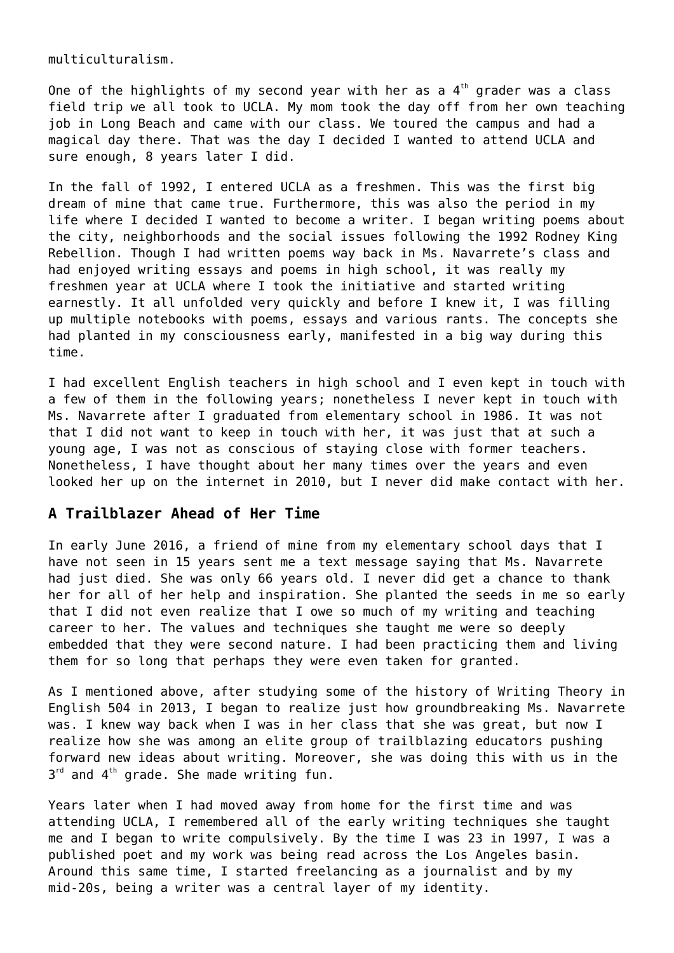multiculturalism.

One of the highlights of my second year with her as a  $4<sup>th</sup>$  grader was a class field trip we all took to UCLA. My mom took the day off from her own teaching job in Long Beach and came with our class. We toured the campus and had a magical day there. That was the day I decided I wanted to attend UCLA and sure enough, 8 years later I did.

In the fall of 1992, I entered UCLA as a freshmen. This was the first big dream of mine that came true. Furthermore, this was also the period in my life where I decided I wanted to become a writer. I began writing poems about the city, neighborhoods and the social issues following the 1992 Rodney King Rebellion. Though I had written poems way back in Ms. Navarrete's class and had enjoyed writing essays and poems in high school, it was really my freshmen year at UCLA where I took the initiative and started writing earnestly. It all unfolded very quickly and before I knew it, I was filling up multiple notebooks with poems, essays and various rants. The concepts she had planted in my consciousness early, manifested in a big way during this time.

I had excellent English teachers in high school and I even kept in touch with a few of them in the following years; nonetheless I never kept in touch with Ms. Navarrete after I graduated from elementary school in 1986. It was not that I did not want to keep in touch with her, it was just that at such a young age, I was not as conscious of staying close with former teachers. Nonetheless, I have thought about her many times over the years and even looked her up on the internet in 2010, but I never did make contact with her.

### **A Trailblazer Ahead of Her Time**

In early June 2016, a friend of mine from my elementary school days that I have not seen in 15 years sent me a text message saying that Ms. Navarrete had just died. She was only 66 years old. I never did get a chance to thank her for all of her help and inspiration. She planted the seeds in me so early that I did not even realize that I owe so much of my writing and teaching career to her. The values and techniques she taught me were so deeply embedded that they were second nature. I had been practicing them and living them for so long that perhaps they were even taken for granted.

As I mentioned above, after studying some of the history of Writing Theory in English 504 in 2013, I began to realize just how groundbreaking Ms. Navarrete was. I knew way back when I was in her class that she was great, but now I realize how she was among an elite group of trailblazing educators pushing forward new ideas about writing. Moreover, she was doing this with us in the  $3<sup>rd</sup>$  and  $4<sup>th</sup>$  grade. She made writing fun.

Years later when I had moved away from home for the first time and was attending UCLA, I remembered all of the early writing techniques she taught me and I began to write compulsively. By the time I was 23 in 1997, I was a published poet and my work was being read across the Los Angeles basin. Around this same time, I started freelancing as a journalist and by my mid-20s, being a writer was a central layer of my identity.